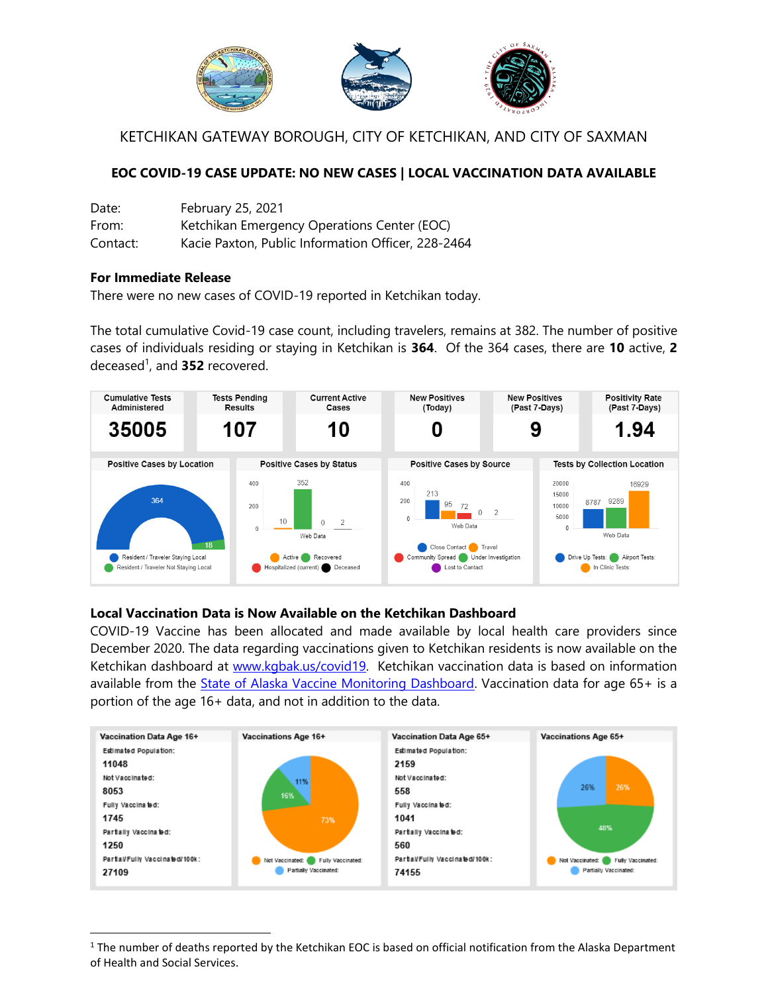

KETCHIKAN GATEWAY BOROUGH, CITY OF KETCHIKAN, AND CITY OF SAXMAN

# **EOC COVID-19 CASE UPDATE: NO NEW CASES | LOCAL VACCINATION DATA AVAILABLE**

| Date:    | February 25, 2021                                  |
|----------|----------------------------------------------------|
| From:    | Ketchikan Emergency Operations Center (EOC)        |
| Contact: | Kacie Paxton, Public Information Officer, 228-2464 |

### **For Immediate Release**

l

There were no new cases of COVID-19 reported in Ketchikan today.

The total cumulative Covid-19 case count, including travelers, remains at 382. The number of positive cases of individuals residing or staying in Ketchikan is **364**. Of the 364 cases, there are **10** active, **2** deceased 1 , and **352** recovered.



## **Local Vaccination Data is Now Available on the Ketchikan Dashboard**

COVID-19 Vaccine has been allocated and made available by local health care providers since December 2020. The data regarding vaccinations given to Ketchikan residents is now available on the Ketchikan dashboard at [www.kgbak.us/covid19.](http://www.kgbak.us/covid19) Ketchikan vaccination data is based on information available from the [State of Alaska Vaccine Monitoring Dashboard.](https://www.arcgis.com/apps/opsdashboard/index.html#/84691dc5b0184827af0fd8e4c20034d9) Vaccination data for age 65+ is a portion of the age 16+ data, and not in addition to the data.



 $1$  The number of deaths reported by the Ketchikan EOC is based on official notification from the Alaska Department of Health and Social Services.